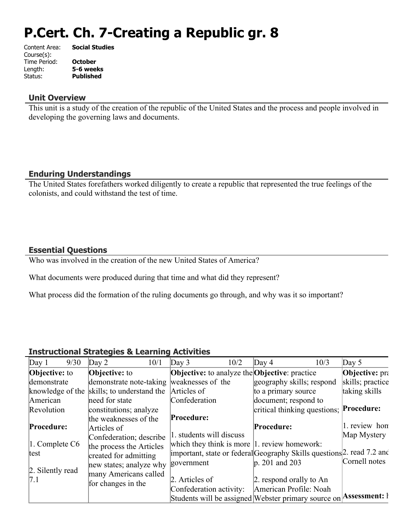# **P.Cert. Ch. 7-Creating a Republic gr. 8**

| Content Area: | <b>Social Studies</b> |
|---------------|-----------------------|
| Course(s):    |                       |
| Time Period:  | <b>October</b>        |
| Length:       | 5-6 weeks             |
| Status:       | <b>Published</b>      |
|               |                       |

#### **Unit Overview**

This unit is a study of the creation of the republic of the United States and the process and people involved in developing the governing laws and documents.

## **Enduring Understandings**

The United States forefathers worked diligently to create a republic that represented the true feelings of the colonists, and could withstand the test of time.

### **Essential Questions**

Who was involved in the creation of the new United States of America?

What documents were produced during that time and what did they represent?

What process did the formation of the ruling documents go through, and why was it so important?

#### **Instructional Strategies & Learning Activities**

| Day 1                  | 9/30 | $\text{Day } 2$<br>10/1                    | $\text{Day } 3$          | 10/2                                                         | Day $4$             | 10/3                                                                   | Day $5$               |
|------------------------|------|--------------------------------------------|--------------------------|--------------------------------------------------------------|---------------------|------------------------------------------------------------------------|-----------------------|
| <b>Objective:</b> to   |      | <b>Objective:</b> to                       |                          | <b>Objective:</b> to analyze the <b>Objective</b> : practice |                     |                                                                        | <b>Objective:</b> pra |
| demonstrate            |      | demonstrate note-taking weaknesses of the  |                          |                                                              |                     | geography skills; respond                                              | skills; practice      |
|                        |      | knowledge of the skills; to understand the | Articles of              |                                                              | to a primary source |                                                                        | taking skills         |
| American               |      | need for state                             | Confederation            |                                                              |                     | document; respond to                                                   |                       |
| Revolution             |      | constitutions; analyze                     |                          |                                                              |                     | critical thinking questions; Procedure:                                |                       |
|                        |      | the weaknesses of the                      | Procedure:               |                                                              |                     |                                                                        |                       |
| Procedure:             |      | Articles of                                |                          |                                                              | Procedure:          |                                                                        | 1. review hon         |
|                        |      | Confederation; describe                    | 1. students will discuss |                                                              |                     |                                                                        | Map Mystery           |
| $\vert$ 1. Complete C6 |      | the process the Articles                   |                          | which they think is more $ 1$ . review homework:             |                     |                                                                        |                       |
| test                   |      | created for admitting                      |                          |                                                              |                     | important, state or federal Geography Skills questions 2. read 7.2 and |                       |
|                        |      | new states; analyze why                    | government               |                                                              | $ p. 201$ and 203   |                                                                        | Cornell notes         |
| 2. Silently read       |      | many Americans called                      |                          |                                                              |                     |                                                                        |                       |
| 7.1                    |      | for changes in the                         | 2. Articles of           |                                                              |                     | 2. respond orally to An                                                |                       |
|                        |      |                                            | Confederation activity:  |                                                              |                     | American Profile: Noah                                                 |                       |
|                        |      |                                            |                          |                                                              |                     | Students will be assigned Webster primary source on                    | <b>Assessment:</b> ł  |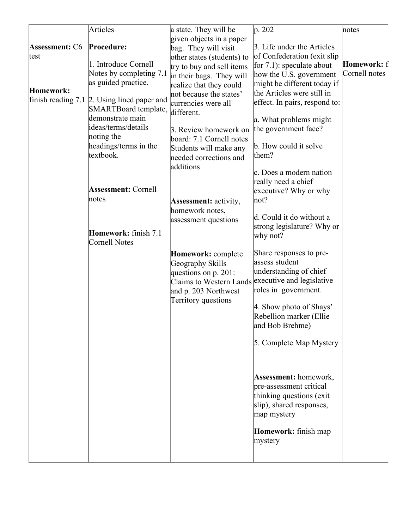|                                 | Articles                                         | a state. They will be                             | p. 202                                                  | notes         |
|---------------------------------|--------------------------------------------------|---------------------------------------------------|---------------------------------------------------------|---------------|
|                                 |                                                  | given objects in a paper                          |                                                         |               |
| <b>Assessment: C6</b>           | Procedure:                                       | bag. They will visit                              | 3. Life under the Articles                              |               |
| test                            |                                                  | other states (students) to                        | of Confederation (exit slip                             |               |
|                                 | 1. Introduce Cornell                             | try to buy and sell items                         | for $7.1$ : speculate about                             | Homework: f   |
|                                 | Notes by completing 7.1                          | in their bags. They will                          | how the U.S. government                                 | Cornell notes |
|                                 | as guided practice.                              | realize that they could                           | might be different today if                             |               |
| Homework:<br>finish reading 7.1 |                                                  | not because the states'                           | the Articles were still in                              |               |
|                                 | 2. Using lined paper and<br>SMARTBoard template, | currencies were all<br>different.                 | effect. In pairs, respond to:                           |               |
|                                 | demonstrate main                                 |                                                   | a. What problems might                                  |               |
|                                 | ideas/terms/details                              | 3. Review homework on                             | the government face?                                    |               |
|                                 | noting the                                       | board: 7.1 Cornell notes                          |                                                         |               |
|                                 | headings/terms in the                            | Students will make any                            | b. How could it solve                                   |               |
|                                 | textbook.                                        | needed corrections and                            | them?                                                   |               |
|                                 |                                                  | additions                                         |                                                         |               |
|                                 |                                                  |                                                   | c. Does a modern nation                                 |               |
|                                 | <b>Assessment: Cornell</b>                       |                                                   | really need a chief                                     |               |
|                                 | notes                                            |                                                   | executive? Why or why                                   |               |
|                                 |                                                  | <b>Assessment:</b> activity,                      | not?                                                    |               |
|                                 |                                                  | homework notes,                                   | d. Could it do without a                                |               |
|                                 |                                                  | assessment questions                              | strong legislature? Why or                              |               |
|                                 | Homework: finish 7.1                             |                                                   | why not?                                                |               |
|                                 | Cornell Notes                                    |                                                   |                                                         |               |
|                                 |                                                  | Homework: complete                                | Share responses to pre-                                 |               |
|                                 |                                                  | Geography Skills                                  | assess student                                          |               |
|                                 |                                                  | questions on p. 201:                              | understanding of chief                                  |               |
|                                 |                                                  | Claims to Western Lands executive and legislative |                                                         |               |
|                                 |                                                  | and p. 203 Northwest                              | roles in government.                                    |               |
|                                 |                                                  | Territory questions                               | 4. Show photo of Shays'                                 |               |
|                                 |                                                  |                                                   | Rebellion marker (Ellie                                 |               |
|                                 |                                                  |                                                   | and Bob Brehme)                                         |               |
|                                 |                                                  |                                                   |                                                         |               |
|                                 |                                                  |                                                   | 5. Complete Map Mystery                                 |               |
|                                 |                                                  |                                                   |                                                         |               |
|                                 |                                                  |                                                   |                                                         |               |
|                                 |                                                  |                                                   |                                                         |               |
|                                 |                                                  |                                                   | <b>Assessment:</b> homework,<br>pre-assessment critical |               |
|                                 |                                                  |                                                   | thinking questions (exit                                |               |
|                                 |                                                  |                                                   | slip), shared responses,                                |               |
|                                 |                                                  |                                                   | map mystery                                             |               |
|                                 |                                                  |                                                   |                                                         |               |
|                                 |                                                  |                                                   | Homework: finish map                                    |               |
|                                 |                                                  |                                                   | mystery                                                 |               |
|                                 |                                                  |                                                   |                                                         |               |
|                                 |                                                  |                                                   |                                                         |               |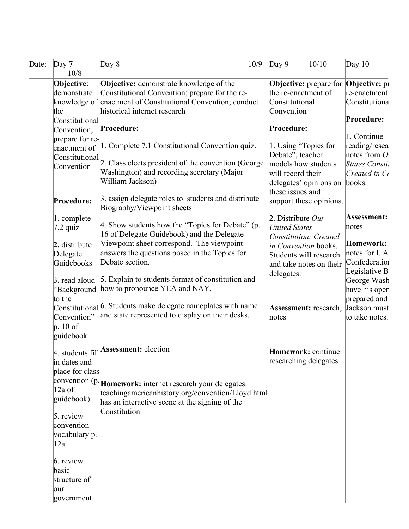| Date: | $\Delta$ Day 7             | 10/9<br>Day $8$                                                           | $\log 9$<br>10/10             | Day $10$             |
|-------|----------------------------|---------------------------------------------------------------------------|-------------------------------|----------------------|
|       | 10/8                       |                                                                           |                               |                      |
|       | Objective:                 | <b>Objective:</b> demonstrate knowledge of the                            | <b>Objective:</b> prepare for | <b>Objective:</b> pi |
|       | demonstrate                | Constitutional Convention; prepare for the re-                            | the re-enactment of           | re-enactment         |
|       |                            | knowledge of enactment of Constitutional Convention; conduct              | Constitutional                | Constitutiona        |
|       | the                        | historical internet research                                              | Convention                    |                      |
|       | Constitutional             | Procedure:                                                                |                               | Procedure:           |
|       | Convention;                |                                                                           | Procedure:                    | 1. Continue          |
|       | prepare for re-            | 1. Complete 7.1 Constitutional Convention quiz.                           | 1. Using "Topics for          | reading/resea        |
|       | enactment of               |                                                                           | Debate", teacher              | notes from $O$       |
|       |                            | Constitutional 2. Class elects president of the convention (George        | models how students           | States Consti        |
|       |                            | Washington) and recording secretary (Major                                | will record their             | $C$ reated in $C_1$  |
|       |                            | William Jackson)                                                          | delegates' opinions on        | books.               |
|       |                            |                                                                           | these issues and              |                      |
|       | Procedure:                 | 3. assign delegate roles to students and distribute                       | support these opinions.       |                      |
|       |                            | Biography/Viewpoint sheets                                                |                               |                      |
|       | 1. complete                |                                                                           | 2. Distribute Our             | Assessment:          |
|       | $ 7.2 \text{ quiz} $       | 4. Show students how the "Topics for Debate" (p.                          | <b>United States</b>          | notes                |
|       |                            | 16 of Delegate Guidebook) and the Delegate                                | Constitution: Created         |                      |
|       | 2. distribute              | Viewpoint sheet correspond. The viewpoint                                 | in Convention books.          | Homework:            |
|       | Delegate                   | answers the questions posed in the Topics for                             | Students will research        | notes for I. A       |
|       | Guidebooks                 | Debate section.                                                           | and take notes on their       | Confederation        |
|       |                            |                                                                           | delegates.                    | Legislative B        |
|       | 3. read aloud              | 5. Explain to students format of constitution and                         |                               | George Wash          |
|       |                            | 'Background   how to pronounce YEA and NAY.                               |                               | have his oper        |
|       | to the                     | Constitutional <sup>6</sup> . Students make delegate nameplates with name |                               | prepared and         |
|       |                            | and state represented to display on their desks.                          | <b>Assessment:</b> research,  | Jackson must         |
|       | Convention"<br>$ p. 10$ of |                                                                           | notes                         | to take notes.       |
|       |                            |                                                                           |                               |                      |
|       | guidebook                  |                                                                           |                               |                      |
|       |                            | 4. students fill Assessment: election                                     | Homework: continue            |                      |
|       | in dates and               |                                                                           | researching delegates         |                      |
|       | place for class            |                                                                           |                               |                      |
|       |                            | convention $(p)$ <b>Homework:</b> internet research your delegates:       |                               |                      |
|       | $12a$ of                   | teachingamericanhistory.org/convention/Lloyd.html                         |                               |                      |
|       | guidebook)                 | has an interactive scene at the signing of the                            |                               |                      |
|       |                            | Constitution                                                              |                               |                      |
|       | $5.$ review                |                                                                           |                               |                      |
|       | convention                 |                                                                           |                               |                      |
|       | vocabulary p.              |                                                                           |                               |                      |
|       | 12a                        |                                                                           |                               |                      |
|       | $6.$ review                |                                                                           |                               |                      |
|       | basic                      |                                                                           |                               |                      |
|       | structure of               |                                                                           |                               |                      |
|       | our                        |                                                                           |                               |                      |
|       | government                 |                                                                           |                               |                      |
|       |                            |                                                                           |                               |                      |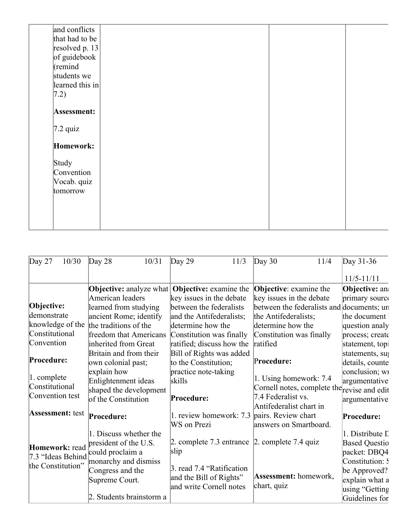| and conflicts    |  |  |
|------------------|--|--|
| that had to be   |  |  |
| resolved p. $13$ |  |  |
| of guidebook     |  |  |
| $\kappa$ (remind |  |  |
| students we      |  |  |
| learned this in  |  |  |
| (7.2)            |  |  |
|                  |  |  |
| Assessment:      |  |  |
| $7.2$ quiz       |  |  |
|                  |  |  |
| Homework:        |  |  |
| Study            |  |  |
| Convention       |  |  |
| Vocab. quiz      |  |  |
| tomorrow         |  |  |
|                  |  |  |
|                  |  |  |
|                  |  |  |
|                  |  |  |

| Day $27$<br>10/30       | Day 28<br>10/31                | Day $29$                                              | 11/3 | Day $30$                      | 11/4 | Day $31-36$                                 |
|-------------------------|--------------------------------|-------------------------------------------------------|------|-------------------------------|------|---------------------------------------------|
|                         |                                |                                                       |      |                               |      | $11/5 - 11/11$                              |
|                         | <b>Objective:</b> analyze what | <b>Objective:</b> examine the                         |      | <b>Objective:</b> examine the |      | <b>Objective: an:</b>                       |
|                         | American leaders               | key issues in the debate                              |      | key issues in the debate      |      | primary source                              |
| Objective:              | learned from studying          | between the federalists                               |      |                               |      | between the federalists and documents; un   |
| demonstrate             | ancient Rome; identify         | and the Antifederalists;                              |      | the Antifederalists;          |      | the document                                |
| knowledge of the        | the traditions of the          | determine how the                                     |      | determine how the             |      | question analy                              |
| Constitutional          | freedom that Americans         | Constitution was finally                              |      | Constitution was finally      |      | process; create                             |
| Convention              | inherited from Great           | ratified; discuss how the                             |      | ratified                      |      | statement, topi                             |
|                         | Britain and from their         | Bill of Rights was added                              |      |                               |      | statements, su                              |
| Procedure:              | own colonial past;             | to the Constitution;                                  |      | Procedure:                    |      | details, counte                             |
|                         | explain how                    | practice note-taking                                  |      |                               |      | conclusion; wi                              |
| $\vert$ 1. complete     | Enlightenment ideas            | skills                                                |      | 1. Using homework: 7.4        |      | argumentative                               |
| Constitutional          | shaped the development         |                                                       |      |                               |      | Cornell notes, complete the revise and edit |
| Convention test         | of the Constitution            | Procedure:                                            |      | 7.4 Federalist vs.            |      | argumentative                               |
|                         |                                |                                                       |      | Antifederalist chart in       |      |                                             |
| <b>Assessment:</b> test | Procedure:                     | 1. review homework: 7.3                               |      | pairs. Review chart           |      | Procedure:                                  |
|                         |                                | WS on Prezi                                           |      | answers on Smartboard.        |      |                                             |
|                         | 1. Discuss whether the         |                                                       |      |                               |      | 1. Distribute L                             |
| Homework: read          | president of the U.S.          | 2. complete 7.3 entrance $\vert$ 2. complete 7.4 quiz |      |                               |      | <b>Based Questio</b>                        |
| 7.3 "Ideas Behind       | could proclaim a               | slip                                                  |      |                               |      | packet: DBQ4                                |
| the Constitution"       | monarchy and dismiss           |                                                       |      |                               |      | Constitution: S                             |
|                         | Congress and the               | 3. read 7.4 "Ratification"                            |      |                               |      | be Approved?                                |
|                         | Supreme Court.                 | and the Bill of Rights"                               |      | Assessment: homework,         |      | explain what a                              |
|                         |                                | and write Cornell notes                               |      | chart, quiz                   |      | using "Getting"                             |
|                         | 2. Students brainstorm a       |                                                       |      |                               |      | Guidelines for                              |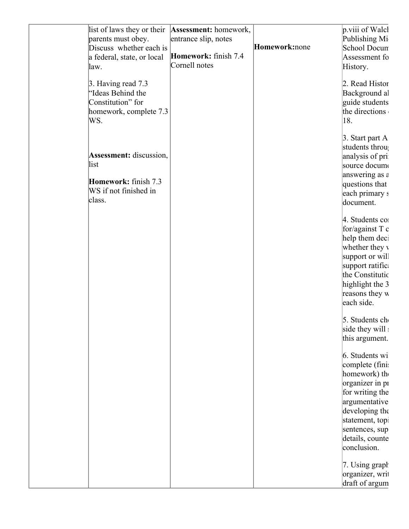| list of laws they or their<br>parents must obey.<br>Discuss whether each is                   | Assessment: homework,<br>entrance slip, notes | Homework:none | $\vert$ p.viii of Walcl<br>Publishing Mi<br>School Docun                                                                                                                            |
|-----------------------------------------------------------------------------------------------|-----------------------------------------------|---------------|-------------------------------------------------------------------------------------------------------------------------------------------------------------------------------------|
| a federal, state, or local<br>law.                                                            | Homework: finish 7.4<br>Cornell notes         |               | Assessment fo<br>History.                                                                                                                                                           |
| 3. Having read 7.3<br>"Ideas Behind the<br>Constitution" for<br>homework, complete 7.3<br>WS. |                                               |               | 2. Read Histor<br>Background al<br>guide students<br>the directions<br>18.                                                                                                          |
| <b>Assessment:</b> discussion,<br>list                                                        |                                               |               | $\beta$ . Start part A<br>students throu<br>analysis of pri<br>source docume                                                                                                        |
| Homework: finish 7.3<br>WS if not finished in<br>class.                                       |                                               |               | answering as $\varepsilon$<br>questions that<br>each primary s<br>document.                                                                                                         |
|                                                                                               |                                               |               | 4. Students co<br>for/against $T c$<br>help them dect<br>whether they v<br>support or will<br>support ratific<br>the Constitutic<br>highlight the 3<br>reasons they w<br>each side. |
|                                                                                               |                                               |               | 5. Students ch<br>side they will<br>this argument.                                                                                                                                  |
|                                                                                               |                                               |               | 6. Students wi<br>complete (fini:<br>homework) the<br>organizer in pi<br>for writing the<br>argumentative<br>developing the                                                         |
|                                                                                               |                                               |               | statement, topi<br>sentences, sup<br>details, counte<br>conclusion.                                                                                                                 |
|                                                                                               |                                               |               | 7. Using graph<br>organizer, writ<br>draft of argum                                                                                                                                 |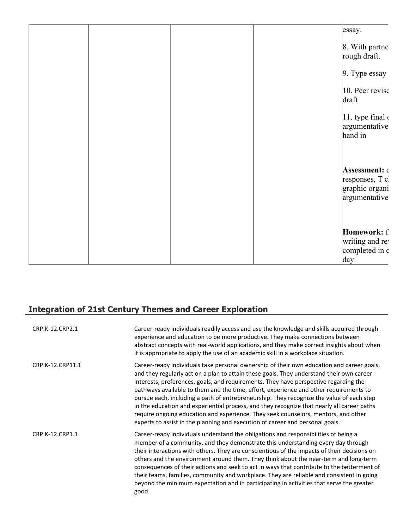|  |  | $\vert$ essay.                                                     |
|--|--|--------------------------------------------------------------------|
|  |  | 8. With partne<br>rough draft.                                     |
|  |  | $\vert 9.$ Type essay                                              |
|  |  | $ 10.$ Peer revise<br>draft                                        |
|  |  | $ 11.$ type final $\epsilon$<br>argumentative<br>hand in           |
|  |  |                                                                    |
|  |  | Assessment: G<br>responses, T c<br>graphic organi<br>argumentative |
|  |  | Homework: f<br>writing and re<br>completed in c<br>day             |

# **Integration of 21st Century Themes and Career Exploration**

| CRP.K-12.CRP2.1  | Career-ready individuals readily access and use the knowledge and skills acquired through<br>experience and education to be more productive. They make connections between<br>abstract concepts with real-world applications, and they make correct insights about when<br>it is appropriate to apply the use of an academic skill in a workplace situation.                                                                                                                                                                                                                                                                                                                                                                            |
|------------------|-----------------------------------------------------------------------------------------------------------------------------------------------------------------------------------------------------------------------------------------------------------------------------------------------------------------------------------------------------------------------------------------------------------------------------------------------------------------------------------------------------------------------------------------------------------------------------------------------------------------------------------------------------------------------------------------------------------------------------------------|
| CRP.K-12.CRP11.1 | Career-ready individuals take personal ownership of their own education and career goals,<br>and they regularly act on a plan to attain these goals. They understand their own career<br>interests, preferences, goals, and requirements. They have perspective regarding the<br>pathways available to them and the time, effort, experience and other requirements to<br>pursue each, including a path of entrepreneurship. They recognize the value of each step<br>in the education and experiential process, and they recognize that nearly all career paths<br>require ongoing education and experience. They seek counselors, mentors, and other<br>experts to assist in the planning and execution of career and personal goals. |
| CRP.K-12.CRP1.1  | Career-ready individuals understand the obligations and responsibilities of being a<br>member of a community, and they demonstrate this understanding every day through<br>their interactions with others. They are conscientious of the impacts of their decisions on<br>others and the environment around them. They think about the near-term and long-term<br>consequences of their actions and seek to act in ways that contribute to the betterment of<br>their teams, families, community and workplace. They are reliable and consistent in going<br>beyond the minimum expectation and in participating in activities that serve the greater<br>good.                                                                          |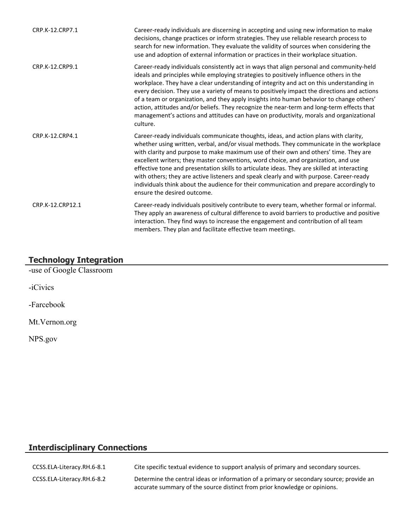| CRP.K-12.CRP7.1  | Career-ready individuals are discerning in accepting and using new information to make<br>decisions, change practices or inform strategies. They use reliable research process to<br>search for new information. They evaluate the validity of sources when considering the<br>use and adoption of external information or practices in their workplace situation.                                                                                                                                                                                                                                                                                                                |
|------------------|-----------------------------------------------------------------------------------------------------------------------------------------------------------------------------------------------------------------------------------------------------------------------------------------------------------------------------------------------------------------------------------------------------------------------------------------------------------------------------------------------------------------------------------------------------------------------------------------------------------------------------------------------------------------------------------|
| CRP.K-12.CRP9.1  | Career-ready individuals consistently act in ways that align personal and community-held<br>ideals and principles while employing strategies to positively influence others in the<br>workplace. They have a clear understanding of integrity and act on this understanding in<br>every decision. They use a variety of means to positively impact the directions and actions<br>of a team or organization, and they apply insights into human behavior to change others'<br>action, attitudes and/or beliefs. They recognize the near-term and long-term effects that<br>management's actions and attitudes can have on productivity, morals and organizational<br>culture.      |
| CRP.K-12.CRP4.1  | Career-ready individuals communicate thoughts, ideas, and action plans with clarity,<br>whether using written, verbal, and/or visual methods. They communicate in the workplace<br>with clarity and purpose to make maximum use of their own and others' time. They are<br>excellent writers; they master conventions, word choice, and organization, and use<br>effective tone and presentation skills to articulate ideas. They are skilled at interacting<br>with others; they are active listeners and speak clearly and with purpose. Career-ready<br>individuals think about the audience for their communication and prepare accordingly to<br>ensure the desired outcome. |
| CRP.K-12.CRP12.1 | Career-ready individuals positively contribute to every team, whether formal or informal.<br>They apply an awareness of cultural difference to avoid barriers to productive and positive<br>interaction. They find ways to increase the engagement and contribution of all team<br>members. They plan and facilitate effective team meetings.                                                                                                                                                                                                                                                                                                                                     |

### **Technology Integration**

-use of Google Classroom

-iCivics

-Farcebook

Mt.Vernon.org

NPS.gov

# **Interdisciplinary Connections**

| CCSS.ELA-Literacy.RH.6-8.1 | Cite specific textual evidence to support analysis of primary and secondary sources.                                                                                 |
|----------------------------|----------------------------------------------------------------------------------------------------------------------------------------------------------------------|
| CCSS.ELA-Literacy.RH.6-8.2 | Determine the central ideas or information of a primary or secondary source; provide an<br>accurate summary of the source distinct from prior knowledge or opinions. |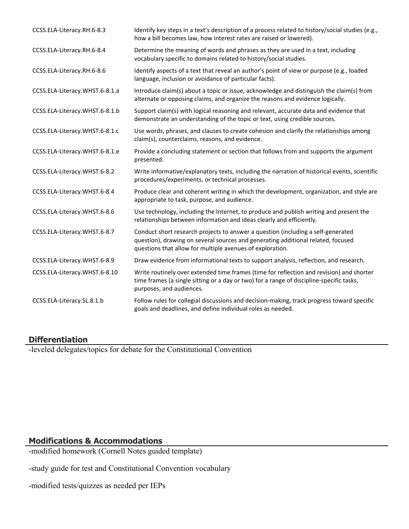| CCSS.ELA-Literacy.RH.6-8.3     | Identify key steps in a text's description of a process related to history/social studies (e.g.,<br>how a bill becomes law, how interest rates are raised or lowered).                                                            |
|--------------------------------|-----------------------------------------------------------------------------------------------------------------------------------------------------------------------------------------------------------------------------------|
| CCSS.ELA-Literacy.RH.6-8.4     | Determine the meaning of words and phrases as they are used in a text, including<br>vocabulary specific to domains related to history/social studies.                                                                             |
| CCSS.ELA-Literacy.RH.6-8.6     | Identify aspects of a text that reveal an author's point of view or purpose (e.g., loaded<br>language, inclusion or avoidance of particular facts).                                                                               |
| CCSS.ELA-Literacy.WHST.6-8.1.a | Introduce claim(s) about a topic or issue, acknowledge and distinguish the claim(s) from<br>alternate or opposing claims, and organize the reasons and evidence logically.                                                        |
| CCSS.ELA-Literacy.WHST.6-8.1.b | Support claim(s) with logical reasoning and relevant, accurate data and evidence that<br>demonstrate an understanding of the topic or text, using credible sources.                                                               |
| CCSS.ELA-Literacy.WHST.6-8.1.c | Use words, phrases, and clauses to create cohesion and clarify the relationships among<br>claim(s), counterclaims, reasons, and evidence.                                                                                         |
| CCSS.ELA-Literacy.WHST.6-8.1.e | Provide a concluding statement or section that follows from and supports the argument<br>presented.                                                                                                                               |
| CCSS.ELA-Literacy.WHST.6-8.2   | Write informative/explanatory texts, including the narration of historical events, scientific<br>procedures/experiments, or technical processes.                                                                                  |
| CCSS.ELA-Literacy.WHST.6-8.4   | Produce clear and coherent writing in which the development, organization, and style are<br>appropriate to task, purpose, and audience.                                                                                           |
| CCSS.ELA-Literacy.WHST.6-8.6   | Use technology, including the Internet, to produce and publish writing and present the<br>relationships between information and ideas clearly and efficiently.                                                                    |
| CCSS.ELA-Literacy.WHST.6-8.7   | Conduct short research projects to answer a question (including a self-generated<br>question), drawing on several sources and generating additional related, focused<br>questions that allow for multiple avenues of exploration. |
| CCSS.ELA-Literacy.WHST.6-8.9   | Draw evidence from informational texts to support analysis, reflection, and research.                                                                                                                                             |
| CCSS.ELA-Literacy.WHST.6-8.10  | Write routinely over extended time frames (time for reflection and revision) and shorter<br>time frames (a single sitting or a day or two) for a range of discipline-specific tasks,<br>purposes, and audiences.                  |
| CCSS.ELA-Literacy.SL.8.1.b     | Follow rules for collegial discussions and decision-making, track progress toward specific<br>goals and deadlines, and define individual roles as needed.                                                                         |

# **Differentiation**

-leveled delegates/topics for debate for the Constitutional Convention

# **Modifications & Accommodations**

-modified homework (Cornell Notes guided template)

-study guide for test and Constitutional Convention vocabulary

-modified tests/quizzes as needed per IEPs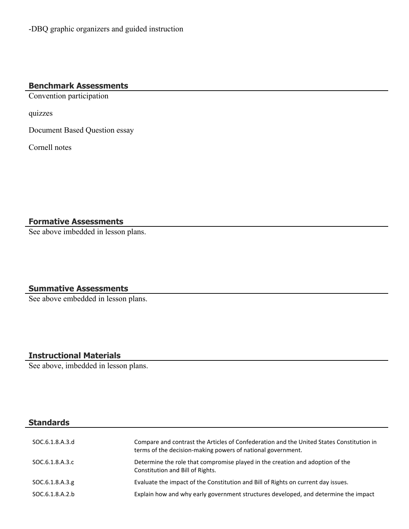-DBQ graphic organizers and guided instruction

# **Benchmark Assessments**

Convention participation

quizzes

Document Based Question essay

Cornell notes

**Formative Assessments**

See above imbedded in lesson plans.

### **Summative Assessments**

See above embedded in lesson plans.

# **Instructional Materials**

See above, imbedded in lesson plans.

### **Standards**

| SOC.6.1.8.A.3.d  | Compare and contrast the Articles of Confederation and the United States Constitution in<br>terms of the decision-making powers of national government. |
|------------------|---------------------------------------------------------------------------------------------------------------------------------------------------------|
| SOC.6.1.8.A.3.c  | Determine the role that compromise played in the creation and adoption of the<br>Constitution and Bill of Rights.                                       |
| SOC.6.1.8.A.3.g. | Evaluate the impact of the Constitution and Bill of Rights on current day issues.                                                                       |
| SOC.6.1.8.A.2.b  | Explain how and why early government structures developed, and determine the impact                                                                     |